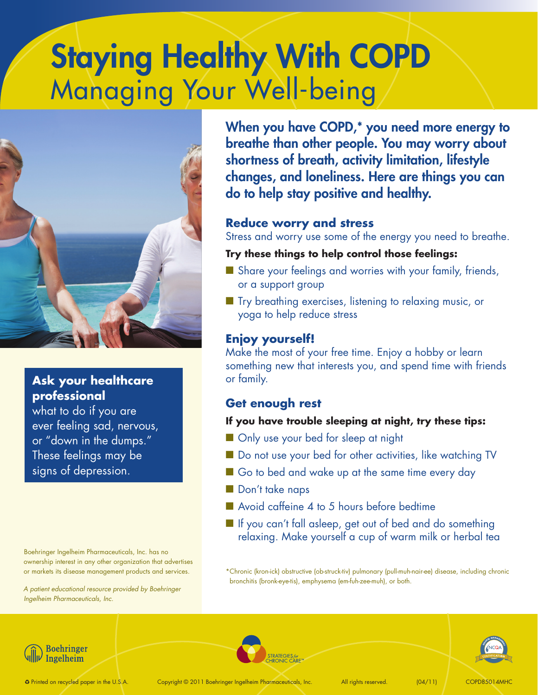# Staying Healthy With COPD Managing Your Well-being



# **Ask your healthcare professional**

what to do if you are ever feeling sad, nervous, or "down in the dumps." These feelings may be signs of depression.

Boehringer Ingelheim Pharmaceuticals, Inc. has no ownership interest in any other organization that advertises or markets its disease management products and services.

*A patient educational resource provided by Boehringer Ingelheim Pharmaceuticals, Inc.*

When you have COPD,\* you need more energy to breathe than other people. You may worry about shortness of breath, activity limitation, lifestyle changes, and loneliness. Here are things you can do to help stay positive and healthy.

#### **Reduce worry and stress**

Stress and worry use some of the energy you need to breathe.

#### **Try these things to help control those feelings:**

- $\blacksquare$  Share your feelings and worries with your family, friends, or a support group
- $\blacksquare$  Try breathing exercises, listening to relaxing music, or yoga to help reduce stress

## **Enjoy yourself!**

Make the most of your free time. Enjoy a hobby or learn something new that interests you, and spend time with friends or family.

#### **Get enough rest**

#### **If you have trouble sleeping at night, try these tips:**

- **n** Only use your bed for sleep at night
- Do not use your bed for other activities, like watching TV
- Go to bed and wake up at the same time every day
- Don't take naps
- $\blacksquare$  Avoid caffeine 4 to 5 hours before bedtime
- $\blacksquare$  If you can't fall asleep, get out of bed and do something relaxing. Make yourself a cup of warm milk or herbal tea

\*Chronic (kron-ick) obstructive (ob-struck-tiv) pulmonary (pull-muh-nair-ee) disease, including chronic bronchitis (bronk-eye-tis), emphysema (em-fuh-zee-muh), or both.